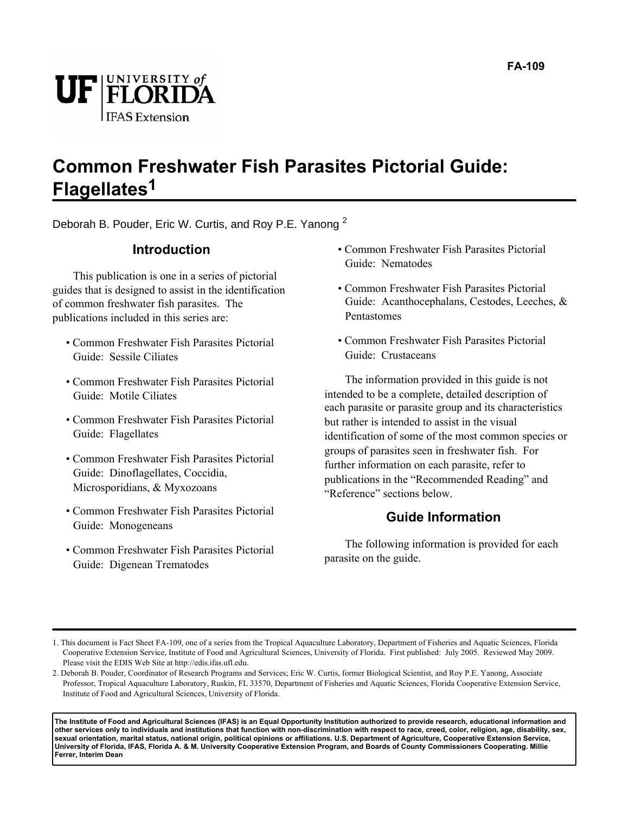

### **Common Freshwater Fish Parasites Pictorial Guide: Flagellates1**

Deborah B. Pouder, Eric W. Curtis, and Roy P.E. Yanong <sup>2</sup>

### **Introduction**

This publication is one in a series of pictorial guides that is designed to assist in the identification of common freshwater fish parasites. The publications included in this series are:

- Common Freshwater Fish Parasites Pictorial Guide: Sessile Ciliates
- Common Freshwater Fish Parasites Pictorial Guide: Motile Ciliates
- Common Freshwater Fish Parasites Pictorial Guide: Flagellates
- Common Freshwater Fish Parasites Pictorial Guide: Dinoflagellates, Coccidia, Microsporidians, & Myxozoans
- Common Freshwater Fish Parasites Pictorial Guide: Monogeneans
- Common Freshwater Fish Parasites Pictorial Guide: Digenean Trematodes
- Common Freshwater Fish Parasites Pictorial Guide: Nematodes
- Common Freshwater Fish Parasites Pictorial Guide: Acanthocephalans, Cestodes, Leeches, & Pentastomes
- Common Freshwater Fish Parasites Pictorial Guide: Crustaceans

The information provided in this guide is not intended to be a complete, detailed description of each parasite or parasite group and its characteristics but rather is intended to assist in the visual identification of some of the most common species or groups of parasites seen in freshwater fish. For further information on each parasite, refer to publications in the "Recommended Reading" and "Reference" sections below.

### **Guide Information**

The following information is provided for each parasite on the guide.

**The Institute of Food and Agricultural Sciences (IFAS) is an Equal Opportunity Institution authorized to provide research, educational information and other services only to individuals and institutions that function with non-discrimination with respect to race, creed, color, religion, age, disability, sex, sexual orientation, marital status, national origin, political opinions or affiliations. U.S. Department of Agriculture, Cooperative Extension Service, University of Florida, IFAS, Florida A. & M. University Cooperative Extension Program, and Boards of County Commissioners Cooperating. Millie Ferrer, Interim Dean**

<sup>1.</sup> This document is Fact Sheet FA-109, one of a series from the Tropical Aquaculture Laboratory, Department of Fisheries and Aquatic Sciences, Florida Cooperative Extension Service, Institute of Food and Agricultural Sciences, University of Florida. First published: July 2005. Reviewed May 2009. Please visit the EDIS Web Site at http://edis.ifas.ufl.edu.

<sup>2.</sup> Deborah B. Pouder, Coordinator of Research Programs and Services; Eric W. Curtis, former Biological Scientist, and Roy P.E. Yanong, Associate Professor, Tropical Aquaculture Laboratory, Ruskin, FL 33570, Department of Fisheries and Aquatic Sciences, Florida Cooperative Extension Service, Institute of Food and Agricultural Sciences, University of Florida.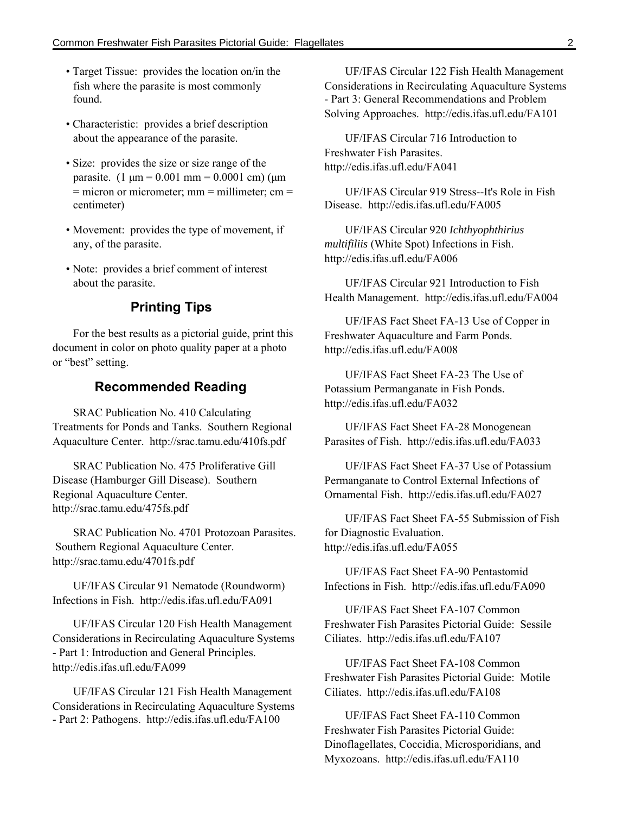- Target Tissue: provides the location on/in the fish where the parasite is most commonly found.
- Characteristic: provides a brief description about the appearance of the parasite.
- Size: provides the size or size range of the parasite.  $(1 \mu m = 0.001 \text{ mm} = 0.0001 \text{ cm})$  ( $\mu$ m  $=$  micron or micrometer; mm  $=$  millimeter; cm  $=$ centimeter)
- Movement: provides the type of movement, if any, of the parasite.
- Note: provides a brief comment of interest about the parasite.

### **Printing Tips**

For the best results as a pictorial guide, print this document in color on photo quality paper at a photo or "best" setting.

### **Recommended Reading**

SRAC Publication No. 410 Calculating Treatments for Ponds and Tanks. Southern Regional Aquaculture Center. http://srac.tamu.edu/410fs.pdf

SRAC Publication No. 475 Proliferative Gill Disease (Hamburger Gill Disease). Southern Regional Aquaculture Center. http://srac.tamu.edu/475fs.pdf

SRAC Publication No. 4701 Protozoan Parasites. Southern Regional Aquaculture Center. http://srac.tamu.edu/4701fs.pdf

UF/IFAS Circular 91 Nematode (Roundworm) Infections in Fish. http://edis.ifas.ufl.edu/FA091

UF/IFAS Circular 120 Fish Health Management Considerations in Recirculating Aquaculture Systems - Part 1: Introduction and General Principles. http://edis.ifas.ufl.edu/FA099

UF/IFAS Circular 121 Fish Health Management Considerations in Recirculating Aquaculture Systems - Part 2: Pathogens. http://edis.ifas.ufl.edu/FA100

UF/IFAS Circular 122 Fish Health Management Considerations in Recirculating Aquaculture Systems - Part 3: General Recommendations and Problem Solving Approaches. http://edis.ifas.ufl.edu/FA101

UF/IFAS Circular 716 Introduction to Freshwater Fish Parasites. http://edis.ifas.ufl.edu/FA041

UF/IFAS Circular 919 Stress--It's Role in Fish Disease. http://edis.ifas.ufl.edu/FA005

UF/IFAS Circular 920 *Ichthyophthirius multifiliis* (White Spot) Infections in Fish. http://edis.ifas.ufl.edu/FA006

UF/IFAS Circular 921 Introduction to Fish Health Management. http://edis.ifas.ufl.edu/FA004

UF/IFAS Fact Sheet FA-13 Use of Copper in Freshwater Aquaculture and Farm Ponds. http://edis.ifas.ufl.edu/FA008

UF/IFAS Fact Sheet FA-23 The Use of Potassium Permanganate in Fish Ponds. http://edis.ifas.ufl.edu/FA032

UF/IFAS Fact Sheet FA-28 Monogenean Parasites of Fish. http://edis.ifas.ufl.edu/FA033

UF/IFAS Fact Sheet FA-37 Use of Potassium Permanganate to Control External Infections of Ornamental Fish. http://edis.ifas.ufl.edu/FA027

UF/IFAS Fact Sheet FA-55 Submission of Fish for Diagnostic Evaluation. http://edis.ifas.ufl.edu/FA055

UF/IFAS Fact Sheet FA-90 Pentastomid Infections in Fish. http://edis.ifas.ufl.edu/FA090

UF/IFAS Fact Sheet FA-107 Common Freshwater Fish Parasites Pictorial Guide: Sessile Ciliates. http://edis.ifas.ufl.edu/FA107

UF/IFAS Fact Sheet FA-108 Common Freshwater Fish Parasites Pictorial Guide: Motile Ciliates. http://edis.ifas.ufl.edu/FA108

UF/IFAS Fact Sheet FA-110 Common Freshwater Fish Parasites Pictorial Guide: Dinoflagellates, Coccidia, Microsporidians, and Myxozoans. http://edis.ifas.ufl.edu/FA110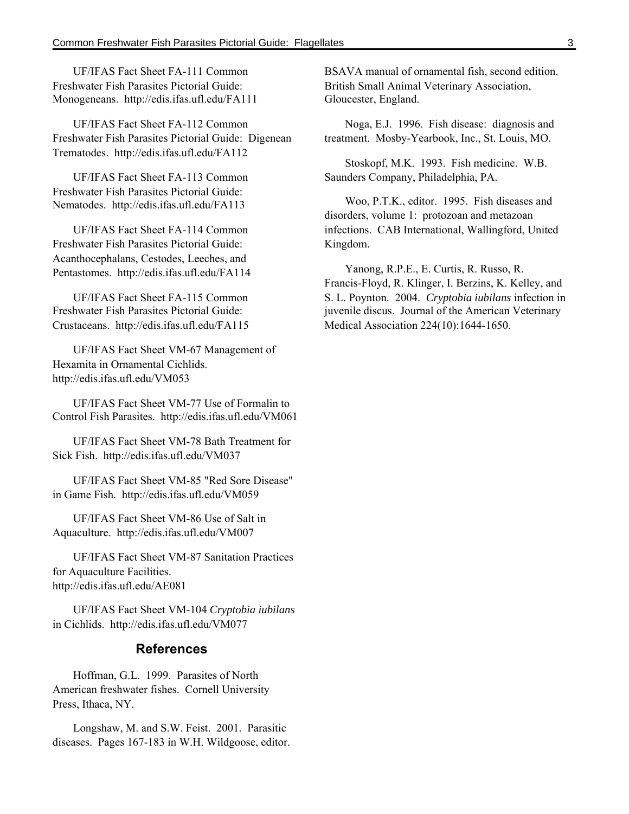UF/IFAS Fact Sheet FA-111 Common Freshwater Fish Parasites Pictorial Guide: Monogeneans. http://edis.ifas.ufl.edu/FA111

UF/IFAS Fact Sheet FA-112 Common Freshwater Fish Parasites Pictorial Guide: Digenean Trematodes. http://edis.ifas.ufl.edu/FA112

UF/IFAS Fact Sheet FA-113 Common Freshwater Fish Parasites Pictorial Guide: Nematodes. http://edis.ifas.ufl.edu/FA113

UF/IFAS Fact Sheet FA-114 Common Freshwater Fish Parasites Pictorial Guide: Acanthocephalans, Cestodes, Leeches, and Pentastomes. http://edis.ifas.ufl.edu/FA114

UF/IFAS Fact Sheet FA-115 Common Freshwater Fish Parasites Pictorial Guide: Crustaceans. http://edis.ifas.ufl.edu/FA115

UF/IFAS Fact Sheet VM-67 Management of Hexamita in Ornamental Cichlids. http://edis.ifas.ufl.edu/VM053

UF/IFAS Fact Sheet VM-77 Use of Formalin to Control Fish Parasites. http://edis.ifas.ufl.edu/VM061

UF/IFAS Fact Sheet VM-78 Bath Treatment for Sick Fish. http://edis.ifas.ufl.edu/VM037

UF/IFAS Fact Sheet VM-85 "Red Sore Disease" in Game Fish. http://edis.ifas.ufl.edu/VM059

UF/IFAS Fact Sheet VM-86 Use of Salt in Aquaculture. http://edis.ifas.ufl.edu/VM007

UF/IFAS Fact Sheet VM-87 Sanitation Practices for Aquaculture Facilities. http://edis.ifas.ufl.edu/AE081

UF/IFAS Fact Sheet VM-104 *Cryptobia iubilans* in Cichlids. http://edis.ifas.ufl.edu/VM077

#### **References**

Hoffman, G.L. 1999. Parasites of North American freshwater fishes. Cornell University Press, Ithaca, NY.

Longshaw, M. and S.W. Feist. 2001. Parasitic diseases. Pages 167-183 in W.H. Wildgoose, editor. BSAVA manual of ornamental fish, second edition. British Small Animal Veterinary Association, Gloucester, England.

Noga, E.J. 1996. Fish disease: diagnosis and treatment. Mosby-Yearbook, Inc., St. Louis, MO.

Stoskopf, M.K. 1993. Fish medicine. W.B. Saunders Company, Philadelphia, PA.

Woo, P.T.K., editor. 1995. Fish diseases and disorders, volume 1: protozoan and metazoan infections. CAB International, Wallingford, United Kingdom.

Yanong, R.P.E., E. Curtis, R. Russo, R. Francis-Floyd, R. Klinger, I. Berzins, K. Kelley, and S. L. Poynton. 2004. *Cryptobia iubilans* infection in juvenile discus. Journal of the American Veterinary Medical Association 224(10):1644-1650.